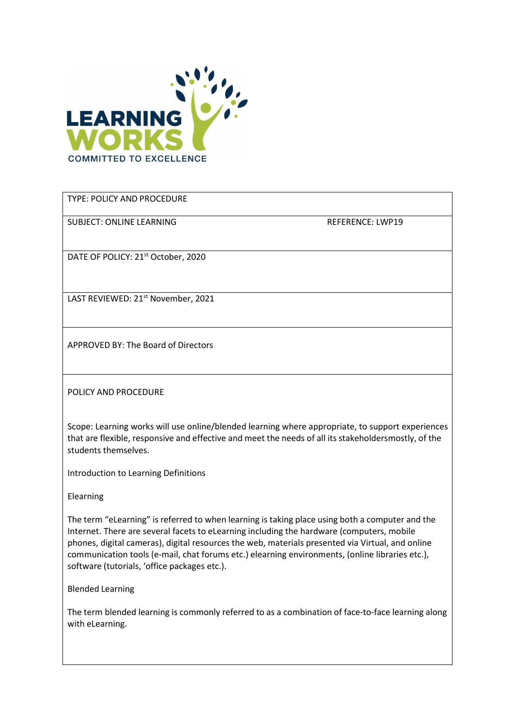

TYPE: POLICY AND PROCEDURE

SUBJECT: ONLINE LEARNING REFERENCE: LWP19

DATE OF POLICY: 21<sup>st</sup> October, 2020

LAST REVIEWED: 21<sup>st</sup> November, 2021

APPROVED BY: The Board of Directors

POLICY AND PROCEDURE

Scope: Learning works will use online/blended learning where appropriate, to support experiences that are flexible, responsive and effective and meet the needs of all its stakeholdersmostly, of the students themselves.

Introduction to Learning Definitions

Elearning

The term "eLearning" is referred to when learning is taking place using both a computer and the Internet. There are several facets to eLearning including the hardware (computers, mobile phones, digital cameras), digital resources the web, materials presented via Virtual, and online communication tools (e-mail, chat forums etc.) elearning environments, (online libraries etc.), software (tutorials, 'office packages etc.).

Blended Learning

The term blended learning is commonly referred to as a combination of face-to-face learning along with eLearning.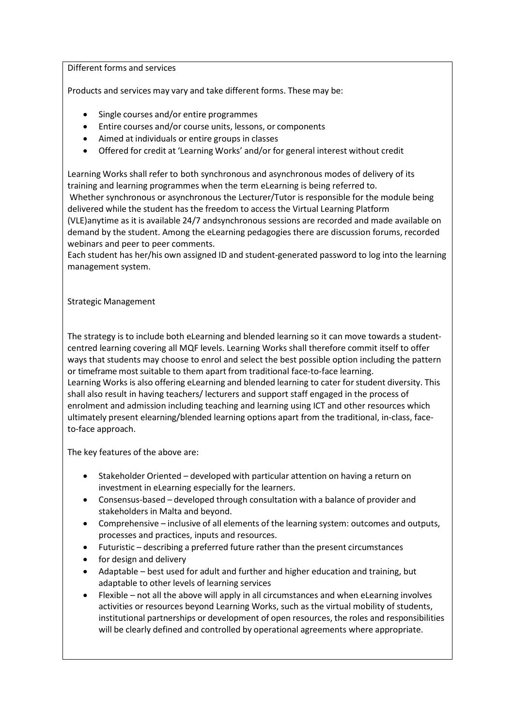Different forms and services

Products and services may vary and take different forms. These may be:

- Single courses and/or entire programmes
- Entire courses and/or course units, lessons, or components
- Aimed at individuals or entire groups in classes
- Offered for credit at 'Learning Works' and/or for general interest without credit

Learning Works shall refer to both synchronous and asynchronous modes of delivery of its training and learning programmes when the term eLearning is being referred to.

Whether synchronous or asynchronous the Lecturer/Tutor is responsible for the module being delivered while the student has the freedom to access the Virtual Learning Platform (VLE)anytime as it is available 24/7 and synchronous sessions are recorded and made available on

demand by the student. Among the eLearning pedagogies there are discussion forums, recorded webinars and peer to peer comments.

Each student has her/his own assigned ID and student-generated password to log into the learning management system.

#### Strategic Management

The strategy is to include both eLearning and blended learning so it can move towards a studentcentred learning covering all MQF levels. Learning Works shall therefore commit itself to offer ways that students may choose to enrol and select the best possible option including the pattern or timeframe most suitable to them apart from traditional face-to-face learning. Learning Works is also offering eLearning and blended learning to cater for student diversity. This shall also result in having teachers/ lecturers and support staff engaged in the process of enrolment and admission including teaching and learning using ICT and other resources which ultimately present elearning/blended learning options apart from the traditional, in-class, faceto-face approach.

The key features of the above are:

- Stakeholder Oriented developed with particular attention on having a return on investment in eLearning especially for the learners.
- Consensus-based developed through consultation with a balance of provider and stakeholders in Malta and beyond.
- Comprehensive inclusive of all elements of the learning system: outcomes and outputs, processes and practices, inputs and resources.
- Futuristic describing a preferred future rather than the present circumstances
- for design and delivery
- Adaptable best used for adult and further and higher education and training, but adaptable to other levels of learning services
- Flexible not all the above will apply in all circumstances and when eLearning involves activities or resources beyond Learning Works, such as the virtual mobility of students, institutional partnerships or development of open resources, the roles and responsibilities will be clearly defined and controlled by operational agreements where appropriate.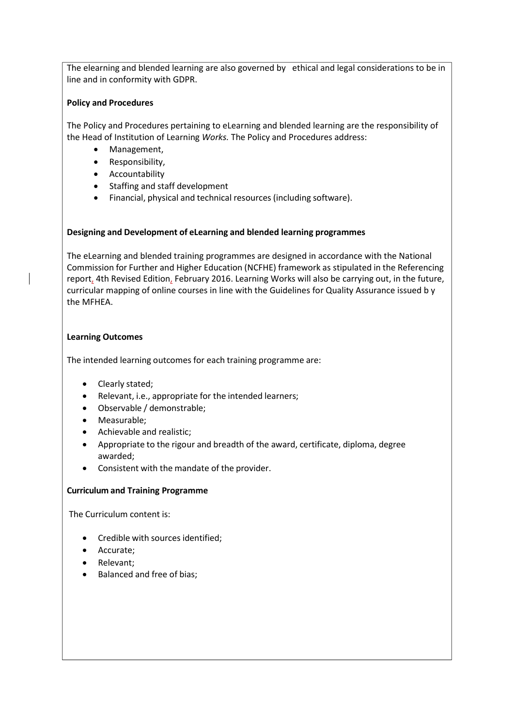The elearning and blended learning are also governed by ethical and legal considerations to be in line and in conformity with GDPR.

## Policy and Procedures

The Policy and Procedures pertaining to eLearning and blended learning are the responsibility of the Head of Institution of Learning Works. The Policy and Procedures address:

- Management,
- Responsibility,
- Accountability
- Staffing and staff development
- Financial, physical and technical resources (including software).

## Designing and Development of eLearning and blended learning programmes

The eLearning and blended training programmes are designed in accordance with the National Commission for Further and Higher Education (NCFHE) framework as stipulated in the Referencing report, 4th Revised Edition, February 2016. Learning Works will also be carrying out, in the future, curricular mapping of online courses in line with the Guidelines for Quality Assurance issued b y the MFHEA.

## Learning Outcomes

The intended learning outcomes for each training programme are:

- Clearly stated;
- Relevant, i.e., appropriate for the intended learners;
- Observable / demonstrable;
- Measurable:
- Achievable and realistic;
- Appropriate to the rigour and breadth of the award, certificate, diploma, degree awarded;
- Consistent with the mandate of the provider.

## Curriculum and Training Programme

The Curriculum content is:

- Credible with sources identified;
- Accurate;
- Relevant;
- Balanced and free of bias;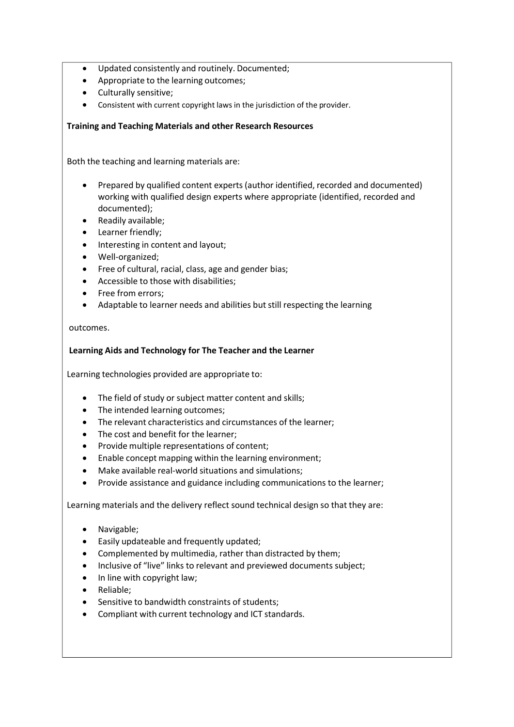- Updated consistently and routinely. Documented;
- Appropriate to the learning outcomes;
- Culturally sensitive;
- Consistent with current copyright laws in the jurisdiction of the provider.

# Training and Teaching Materials and other Research Resources

Both the teaching and learning materials are:

- Prepared by qualified content experts (author identified, recorded and documented) working with qualified design experts where appropriate (identified, recorded and documented);
- Readily available;
- Learner friendly;
- Interesting in content and layout;
- Well-organized;
- Free of cultural, racial, class, age and gender bias;
- Accessible to those with disabilities;
- Free from errors:
- Adaptable to learner needs and abilities but still respecting the learning

outcomes.

## Learning Aids and Technology for The Teacher and the Learner

Learning technologies provided are appropriate to:

- The field of study or subject matter content and skills;
- The intended learning outcomes;
- The relevant characteristics and circumstances of the learner;
- The cost and benefit for the learner:
- Provide multiple representations of content;
- Enable concept mapping within the learning environment;
- Make available real-world situations and simulations;
- Provide assistance and guidance including communications to the learner;

Learning materials and the delivery reflect sound technical design so that they are:

- Navigable;
- Easily updateable and frequently updated;
- Complemented by multimedia, rather than distracted by them;
- Inclusive of "live" links to relevant and previewed documents subject;
- In line with copyright law;
- Reliable;
- Sensitive to bandwidth constraints of students;
- Compliant with current technology and ICT standards.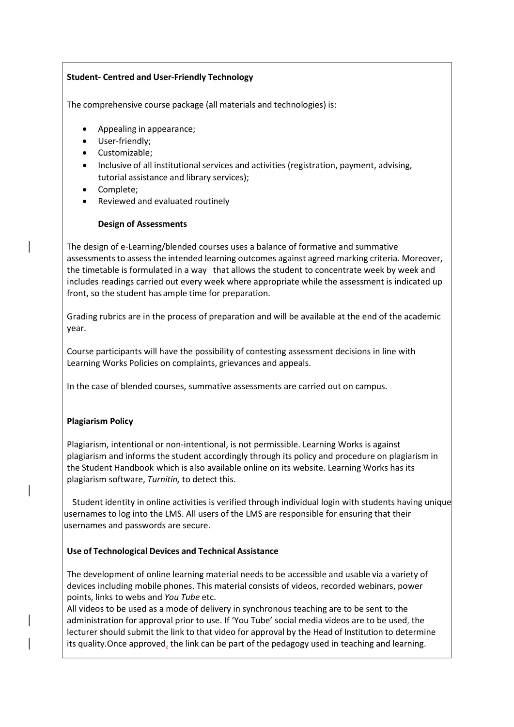# Student- Centred and User-Friendly Technology

The comprehensive course package (all materials and technologies) is:

- Appealing in appearance;
- User-friendly;
- Customizable;
- Inclusive of all institutional services and activities (registration, payment, advising, tutorial assistance and library services);
- Complete;
- Reviewed and evaluated routinely

## Design of Assessments

The design of e-Learning/blended courses uses a balance of formative and summative assessments to assess the intended learning outcomes against agreed marking criteria. Moreover, the timetable is formulated in a way that allows the student to concentrate week by week and includes readings carried out every week where appropriate while the assessment is indicated up front, so the student has ample time for preparation.

Grading rubrics are in the process of preparation and will be available at the end of the academic year.

Course participants will have the possibility of contesting assessment decisions in line with Learning Works Policies on complaints, grievances and appeals.

In the case of blended courses, summative assessments are carried out on campus.

## Plagiarism Policy

Plagiarism, intentional or non-intentional, is not permissible. Learning Works is against plagiarism and informs the student accordingly through its policy and procedure on plagiarism in the Student Handbook which is also available online on its website. Learning Works has its plagiarism software, Turnitin, to detect this.

 Student identity in online activities is verified through individual login with students having unique usernames to log into the LMS. All users of the LMS are responsible for ensuring that their usernames and passwords are secure.

## Use of Technological Devices and Technical Assistance

The development of online learning material needs to be accessible and usable via a variety of devices including mobile phones. This material consists of videos, recorded webinars, power points, links to webs and You Tube etc.

All videos to be used as a mode of delivery in synchronous teaching are to be sent to the administration for approval prior to use. If 'You Tube' social media videos are to be used, the lecturer should submit the link to that video for approval by the Head of Institution to determine its quality. Once approved, the link can be part of the pedagogy used in teaching and learning.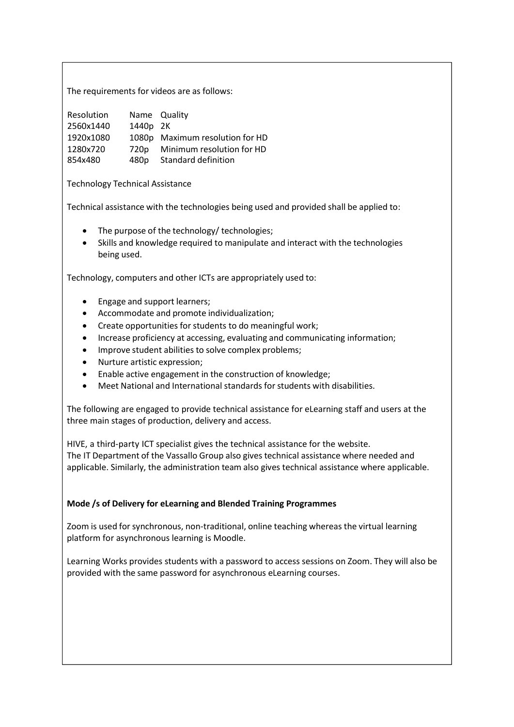The requirements for videos are as follows:

| Resolution |                  | Name Quality                    |
|------------|------------------|---------------------------------|
| 2560x1440  | 1440p 2K         |                                 |
| 1920x1080  |                  | 1080p Maximum resolution for HD |
| 1280x720   | 720 <sub>p</sub> | Minimum resolution for HD       |
| 854x480    | 480p             | Standard definition             |

Technology Technical Assistance

Technical assistance with the technologies being used and provided shall be applied to:

- The purpose of the technology/ technologies;
- Skills and knowledge required to manipulate and interact with the technologies being used.

Technology, computers and other ICTs are appropriately used to:

- Engage and support learners;
- Accommodate and promote individualization;
- Create opportunities for students to do meaningful work;
- Increase proficiency at accessing, evaluating and communicating information;
- Improve student abilities to solve complex problems;
- Nurture artistic expression;
- Enable active engagement in the construction of knowledge;
- Meet National and International standards for students with disabilities.

The following are engaged to provide technical assistance for eLearning staff and users at the three main stages of production, delivery and access.

HIVE, a third-party ICT specialist gives the technical assistance for the website. The IT Department of the Vassallo Group also gives technical assistance where needed and applicable. Similarly, the administration team also gives technical assistance where applicable.

## Mode /s of Delivery for eLearning and Blended Training Programmes

Zoom is used for synchronous, non-traditional, online teaching whereas the virtual learning platform for asynchronous learning is Moodle.

Learning Works provides students with a password to access sessions on Zoom. They will also be provided with the same password for asynchronous eLearning courses.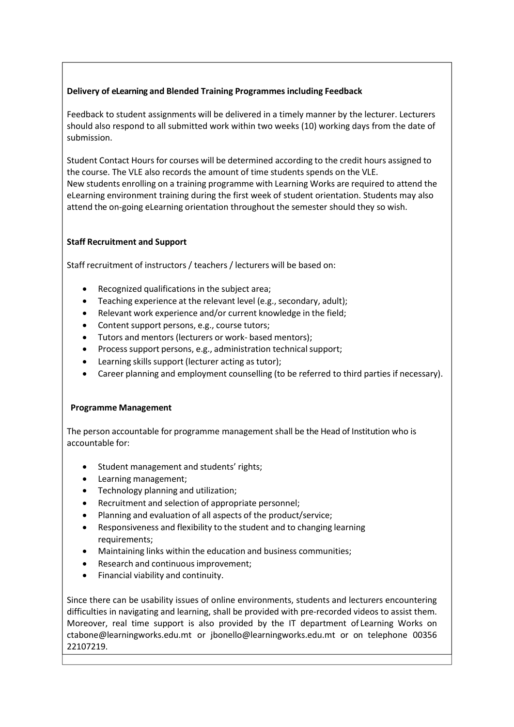## Delivery of eLearning and Blended Training Programmes including Feedback

Feedback to student assignments will be delivered in a timely manner by the lecturer. Lecturers should also respond to all submitted work within two weeks (10) working days from the date of submission.

Student Contact Hours for courses will be determined according to the credit hours assigned to the course. The VLE also records the amount of time students spends on the VLE. New students enrolling on a training programme with Learning Works are required to attend the eLearning environment training during the first week of student orientation. Students may also attend the on-going eLearning orientation throughout the semester should they so wish.

# Staff Recruitment and Support

Staff recruitment of instructors / teachers / lecturers will be based on:

- Recognized qualifications in the subject area;
- Teaching experience at the relevant level (e.g., secondary, adult);
- Relevant work experience and/or current knowledge in the field;
- Content support persons, e.g., course tutors;
- Tutors and mentors (lecturers or work- based mentors);
- Process support persons, e.g., administration technical support;
- Learning skills support (lecturer acting as tutor);
- Career planning and employment counselling (to be referred to third parties if necessary).

## Programme Management

The person accountable for programme management shall be the Head of Institution who is accountable for:

- Student management and students' rights;
- Learning management;
- Technology planning and utilization;
- Recruitment and selection of appropriate personnel;
- Planning and evaluation of all aspects of the product/service;
- Responsiveness and flexibility to the student and to changing learning requirements;
- Maintaining links within the education and business communities;
- Research and continuous improvement;
- Financial viability and continuity.

Since there can be usability issues of online environments, students and lecturers encountering difficulties in navigating and learning, shall be provided with pre-recorded videos to assist them. Moreover, real time support is also provided by the IT department of Learning Works on ctabone@learningworks.edu.mt or jbonello@learningworks.edu.mt or on telephone 00356 22107219.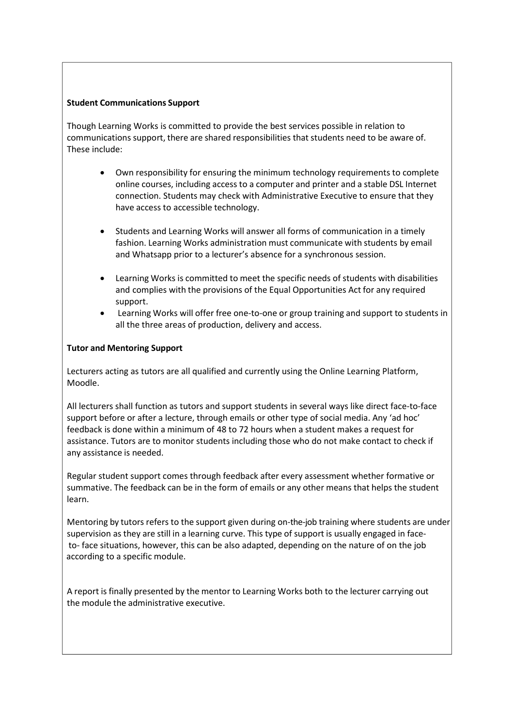#### Student Communications Support

Though Learning Works is committed to provide the best services possible in relation to communications support, there are shared responsibilities that students need to be aware of. These include:

- Own responsibility for ensuring the minimum technology requirements to complete online courses, including access to a computer and printer and a stable DSL Internet connection. Students may check with Administrative Executive to ensure that they have access to accessible technology.
- Students and Learning Works will answer all forms of communication in a timely fashion. Learning Works administration must communicate with students by email and Whatsapp prior to a lecturer's absence for a synchronous session.
- Learning Works is committed to meet the specific needs of students with disabilities and complies with the provisions of the Equal Opportunities Act for any required support.
- Learning Works will offer free one-to-one or group training and support to students in all the three areas of production, delivery and access.

#### Tutor and Mentoring Support

Lecturers acting as tutors are all qualified and currently using the Online Learning Platform, Moodle.

All lecturers shall function as tutors and support students in several ways like direct face-to-face support before or after a lecture, through emails or other type of social media. Any 'ad hoc' feedback is done within a minimum of 48 to 72 hours when a student makes a request for assistance. Tutors are to monitor students including those who do not make contact to check if any assistance is needed.

Regular student support comes through feedback after every assessment whether formative or summative. The feedback can be in the form of emails or any other means that helps the student learn.

Mentoring by tutors refers to the support given during on-the-job training where students are under supervision as they are still in a learning curve. This type of support is usually engaged in face to- face situations, however, this can be also adapted, depending on the nature of on the job according to a specific module.

A report is finally presented by the mentor to Learning Works both to the lecturer carrying out the module the administrative executive.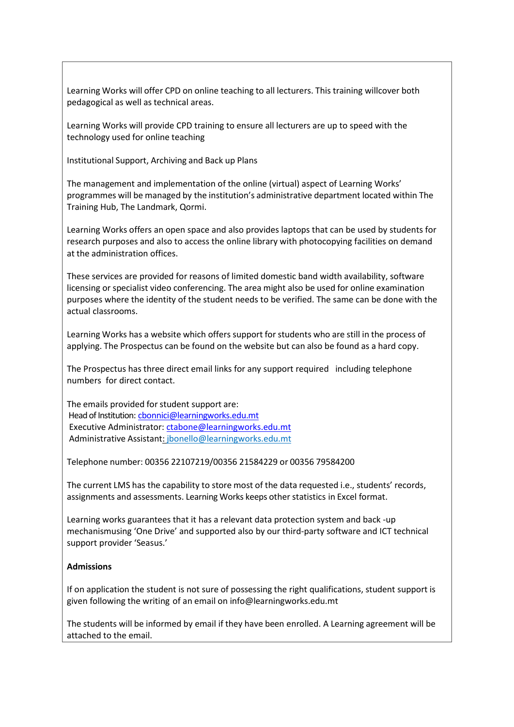Learning Works will offer CPD on online teaching to all lecturers. This training willcover both pedagogical as well as technical areas.

Learning Works will provide CPD training to ensure all lecturers are up to speed with the technology used for online teaching

Institutional Support, Archiving and Back up Plans

The management and implementation of the online (virtual) aspect of Learning Works' programmes will be managed by the institution's administrative department located within The Training Hub, The Landmark, Qormi.

Learning Works offers an open space and also provides laptops that can be used by students for research purposes and also to access the online library with photocopying facilities on demand at the administration offices.

These services are provided for reasons of limited domestic band width availability, software licensing or specialist video conferencing. The area might also be used for online examination purposes where the identity of the student needs to be verified. The same can be done with the actual classrooms.

Learning Works has a website which offers support for students who are still in the process of applying. The Prospectus can be found on the website but can also be found as a hard copy.

The Prospectus has three direct email links for any support required including telephone numbers for direct contact.

The emails provided for student support are: Head of Institution: cbonnici@learningworks.edu.mt Executive Administrator: ctabone@learningworks.edu.mt Administrative Assistant: jbonello@learningworks.edu.mt

Telephone number: 00356 22107219/00356 21584229 or 00356 79584200

The current LMS has the capability to store most of the data requested i.e., students' records, assignments and assessments. Learning Works keeps other statistics in Excel format.

Learning works guarantees that it has a relevant data protection system and back -up mechanism using 'One Drive' and supported also by our third-party software and ICT technical support provider 'Seasus.'

#### Admissions

If on application the student is not sure of possessing the right qualifications, student support is given following the writing of an email on info@learningworks.edu.mt

The students will be informed by email if they have been enrolled. A Learning agreement will be attached to the email.